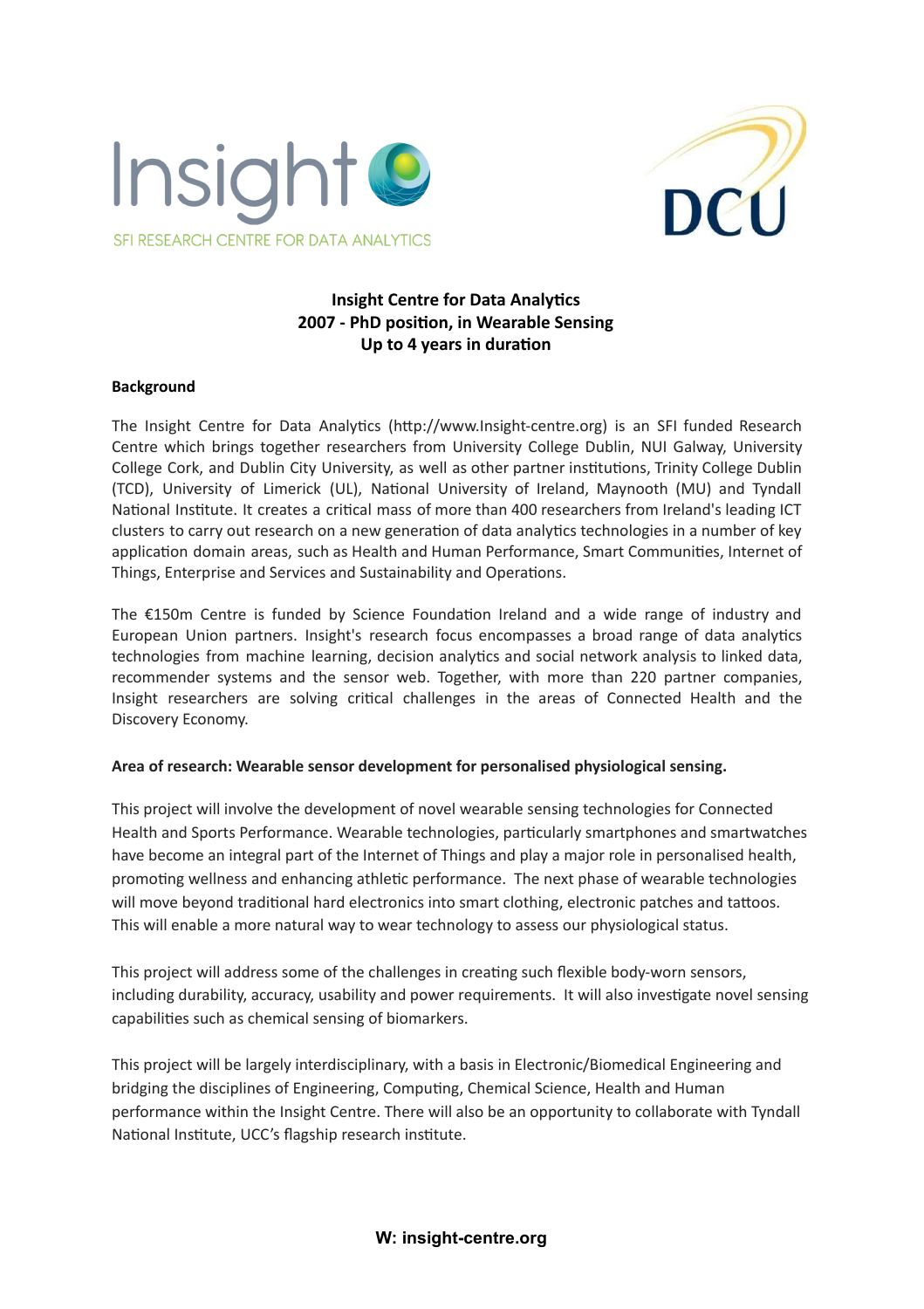



# **Insight Centre for Data Analytics 2007 - PhD position, in Wearable Sensing Up to 4 years in duration**

## **Background**

The Insight Centre for Data Analytics (http://www.Insight-centre.org) is an SFI funded Research Centre which brings together researchers from University College Dublin, NUI Galway, University College Cork, and Dublin City University, as well as other partner institutions, Trinity College Dublin (TCD), University of Limerick (UL), National University of Ireland, Maynooth (MU) and Tyndall National Institute. It creates a critical mass of more than 400 researchers from Ireland's leading ICT clusters to carry out research on a new generation of data analytics technologies in a number of key application domain areas, such as Health and Human Performance, Smart Communities, Internet of Things, Enterprise and Services and Sustainability and Operations.

The  $£150m$  Centre is funded by Science Foundation Ireland and a wide range of industry and European Union partners. Insight's research focus encompasses a broad range of data analytics technologies from machine learning, decision analytics and social network analysis to linked data, recommender systems and the sensor web. Together, with more than 220 partner companies, Insight researchers are solving critical challenges in the areas of Connected Health and the Discovery Economy.

#### **Area of research: Wearable sensor development for personalised physiological sensing.**

This project will involve the development of novel wearable sensing technologies for Connected Health and Sports Performance. Wearable technologies, particularly smartphones and smartwatches have become an integral part of the Internet of Things and play a major role in personalised health, promoting wellness and enhancing athletic performance. The next phase of wearable technologies will move beyond traditional hard electronics into smart clothing, electronic patches and tattoos. This will enable a more natural way to wear technology to assess our physiological status.

This project will address some of the challenges in creating such flexible body-worn sensors, including durability, accuracy, usability and power requirements. It will also investigate novel sensing capabilities such as chemical sensing of biomarkers.

This project will be largely interdisciplinary, with a basis in Electronic/Biomedical Engineering and bridging the disciplines of Engineering, Computing, Chemical Science, Health and Human performance within the Insight Centre. There will also be an opportunity to collaborate with Tyndall National Institute, UCC's flagship research institute.